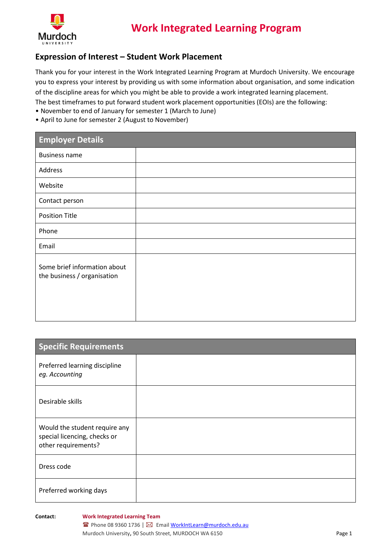

# **Work Integrated Learning Program**

### **Expression of Interest – Student Work Placement**

Thank you for your interest in the Work Integrated Learning Program at Murdoch University. We encourage you to express your interest by providing us with some information about organisation, and some indication of the discipline areas for which you might be able to provide a work integrated learning placement.

The best timeframes to put forward student work placement opportunities (EOIs) are the following:

- November to end of January for semester 1 (March to June)
- April to June for semester 2 (August to November)

| <b>Employer Details</b>                                     |  |
|-------------------------------------------------------------|--|
| <b>Business name</b>                                        |  |
| Address                                                     |  |
| Website                                                     |  |
| Contact person                                              |  |
| <b>Position Title</b>                                       |  |
| Phone                                                       |  |
| Email                                                       |  |
| Some brief information about<br>the business / organisation |  |

| <b>Specific Requirements</b>                                                         |  |
|--------------------------------------------------------------------------------------|--|
| Preferred learning discipline<br>eg. Accounting                                      |  |
| Desirable skills                                                                     |  |
| Would the student require any<br>special licencing, checks or<br>other requirements? |  |
| Dress code                                                                           |  |
| Preferred working days                                                               |  |

**Contact: Work Integrated Learning Team**

■ Phone 08 9360 1736 | ⊠ Emai[l WorkIntLearn@murdoch.edu.au](mailto:WorkIntLearn@murdoch.edu.au) Murdoch University, 90 South Street, MURDOCH WA 6150 **Page 1** Page 1